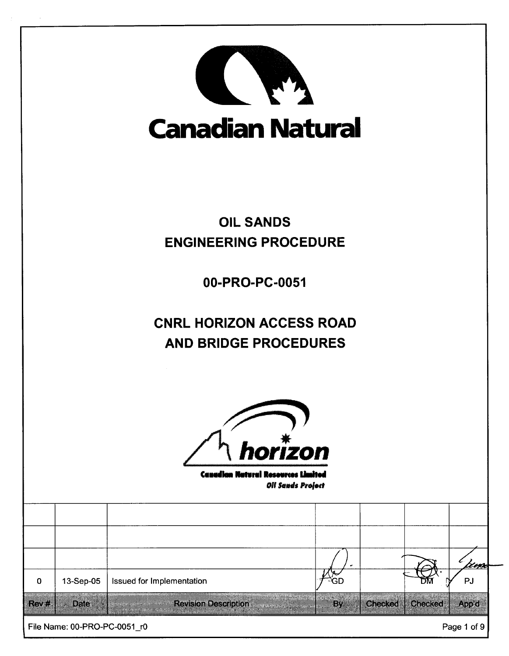| <b>Canadian Natural</b>                                                          |                              |                                                                                     |                                 |         |                |             |  |
|----------------------------------------------------------------------------------|------------------------------|-------------------------------------------------------------------------------------|---------------------------------|---------|----------------|-------------|--|
|                                                                                  |                              |                                                                                     | <b>OIL SANDS</b>                |         |                |             |  |
|                                                                                  | <b>ENGINEERING PROCEDURE</b> |                                                                                     |                                 |         |                |             |  |
|                                                                                  | 00-PRO-PC-0051               |                                                                                     |                                 |         |                |             |  |
|                                                                                  |                              |                                                                                     | <b>CNRL HORIZON ACCESS ROAD</b> |         |                |             |  |
|                                                                                  |                              |                                                                                     | <b>AND BRIDGE PROCEDURES</b>    |         |                |             |  |
| horizon<br><b>Canadian Natural Researces Limited</b><br><b>Oll Sands Project</b> |                              |                                                                                     |                                 |         |                |             |  |
|                                                                                  |                              |                                                                                     |                                 |         |                |             |  |
|                                                                                  |                              |                                                                                     |                                 |         |                |             |  |
|                                                                                  |                              |                                                                                     |                                 |         |                | <u>'</u> zm |  |
| 0                                                                                | 13-Sep-05                    | Issued for Implementation                                                           | ĞD                              |         |                | PJ          |  |
| <b>Rever</b>                                                                     | <b>Date</b>                  | <b>Revision Description</b><br>--<br><b>Secretary of the Secretary Construction</b> | a sa tan<br>By.                 | Checked | <b>Checked</b> | Appid       |  |
|                                                                                  | File Name: 00-PRO-PC-0051_r0 |                                                                                     |                                 |         |                | Page 1 of 9 |  |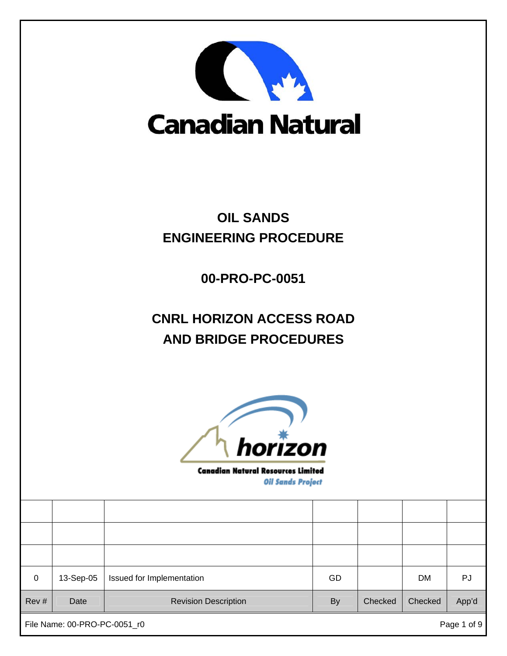

## **Canadian Natural**

## **OIL SANDS ENGINEERING PROCEDURE**

**00-PRO-PC-0051** 

## **CNRL HORIZON ACCESS ROAD AND BRIDGE PROCEDURES**



**Canadian Natural Resources Limited Oil Sands Project** 

| $\mathbf 0$ | 13-Sep-05 | Issued for Implementation   | GD        |         | <b>DM</b> | PJ    |
|-------------|-----------|-----------------------------|-----------|---------|-----------|-------|
| Rev#        | Date      | <b>Revision Description</b> | <b>By</b> | Checked | Checked   | App'd |

File Name: 00-PRO-PC-0051\_r0 example of 9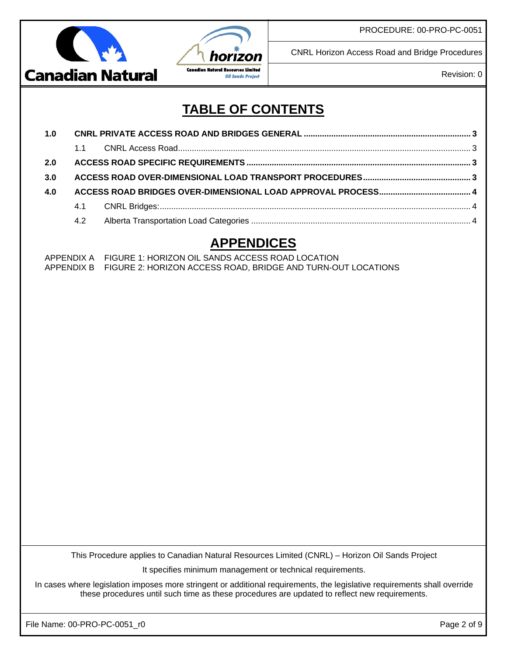



CNRL Horizon Access Road and Bridge Procedures

Revision: 0

## **TABLE OF CONTENTS**

| 1.0 |    |  |  |  |  |
|-----|----|--|--|--|--|
|     | 11 |  |  |  |  |
| 2.0 |    |  |  |  |  |
| 3.0 |    |  |  |  |  |
| 4.0 |    |  |  |  |  |
|     |    |  |  |  |  |
|     |    |  |  |  |  |

### **APPENDICES**

APPENDIX A FIGURE 1: HORIZON OIL SANDS ACCESS ROAD LOCATION APPENDIX B FIGURE 2: HORIZON ACCESS ROAD, BRIDGE AND TURN-OUT LOCATIONS

This Procedure applies to Canadian Natural Resources Limited (CNRL) – Horizon Oil Sands Project

It specifies minimum management or technical requirements.

In cases where legislation imposes more stringent or additional requirements, the legislative requirements shall override these procedures until such time as these procedures are updated to reflect new requirements.

File Name: 00-PRO-PC-0051\_r0 Page 2 of 9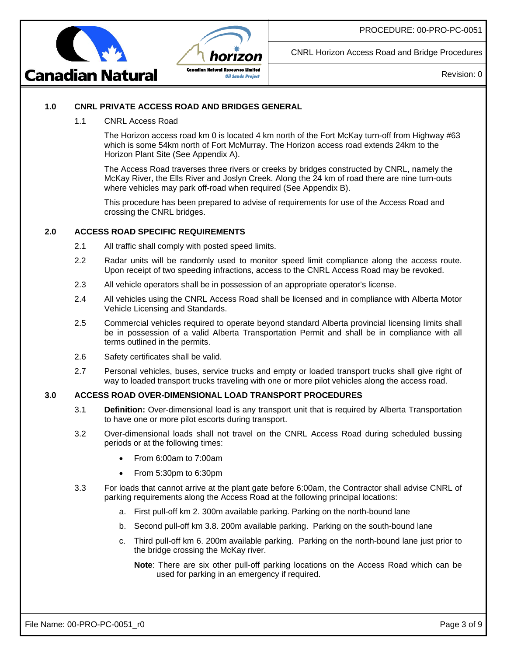



CNRL Horizon Access Road and Bridge Procedures

Revision: 0

#### **1.0 CNRL PRIVATE ACCESS ROAD AND BRIDGES GENERAL**

1.1 CNRL Access Road

The Horizon access road km 0 is located 4 km north of the Fort McKay turn-off from Highway #63 which is some 54km north of Fort McMurray. The Horizon access road extends 24km to the Horizon Plant Site (See Appendix A).

The Access Road traverses three rivers or creeks by bridges constructed by CNRL, namely the McKay River, the Ells River and Joslyn Creek. Along the 24 km of road there are nine turn-outs where vehicles may park off-road when required (See Appendix B).

This procedure has been prepared to advise of requirements for use of the Access Road and crossing the CNRL bridges.

#### **2.0 ACCESS ROAD SPECIFIC REQUIREMENTS**

- 2.1 All traffic shall comply with posted speed limits.
- 2.2 Radar units will be randomly used to monitor speed limit compliance along the access route. Upon receipt of two speeding infractions, access to the CNRL Access Road may be revoked.
- 2.3 All vehicle operators shall be in possession of an appropriate operator's license.
- 2.4 All vehicles using the CNRL Access Road shall be licensed and in compliance with Alberta Motor Vehicle Licensing and Standards.
- 2.5 Commercial vehicles required to operate beyond standard Alberta provincial licensing limits shall be in possession of a valid Alberta Transportation Permit and shall be in compliance with all terms outlined in the permits.
- 2.6 Safety certificates shall be valid.
- 2.7 Personal vehicles, buses, service trucks and empty or loaded transport trucks shall give right of way to loaded transport trucks traveling with one or more pilot vehicles along the access road.

#### **3.0 ACCESS ROAD OVER-DIMENSIONAL LOAD TRANSPORT PROCEDURES**

- 3.1 **Definition:** Over-dimensional load is any transport unit that is required by Alberta Transportation to have one or more pilot escorts during transport.
- 3.2 Over-dimensional loads shall not travel on the CNRL Access Road during scheduled bussing periods or at the following times:
	- From 6:00am to 7:00am
	- From 5:30pm to 6:30pm
- 3.3 For loads that cannot arrive at the plant gate before 6:00am, the Contractor shall advise CNRL of parking requirements along the Access Road at the following principal locations:
	- a. First pull-off km 2. 300m available parking. Parking on the north-bound lane
	- b. Second pull-off km 3.8. 200m available parking. Parking on the south-bound lane
	- c. Third pull-off km 6. 200m available parking. Parking on the north-bound lane just prior to the bridge crossing the McKay river.
		- **Note**: There are six other pull-off parking locations on the Access Road which can be used for parking in an emergency if required.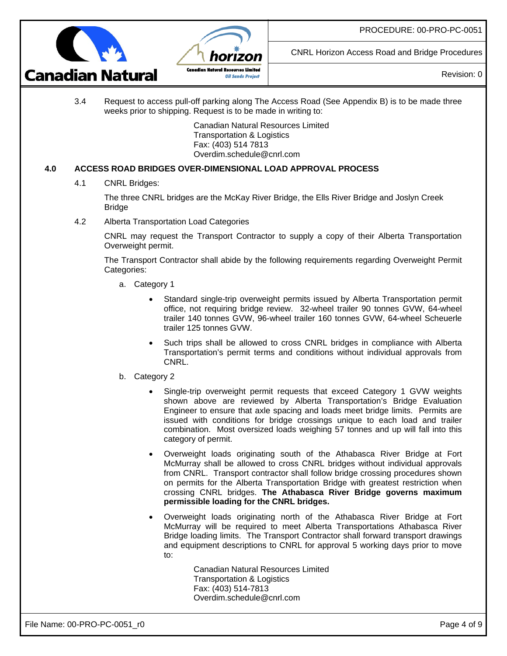



CNRL Horizon Access Road and Bridge Procedures

Revision: 0

3.4 Request to access pull-off parking along The Access Road (See Appendix B) is to be made three weeks prior to shipping. Request is to be made in writing to:

> Canadian Natural Resources Limited Transportation & Logistics Fax: (403) 514 7813 Overdim.schedule@cnrl.com

#### **4.0 ACCESS ROAD BRIDGES OVER-DIMENSIONAL LOAD APPROVAL PROCESS**

4.1 CNRL Bridges:

The three CNRL bridges are the McKay River Bridge, the Ells River Bridge and Joslyn Creek Bridge

4.2 Alberta Transportation Load Categories

CNRL may request the Transport Contractor to supply a copy of their Alberta Transportation Overweight permit.

The Transport Contractor shall abide by the following requirements regarding Overweight Permit Categories:

- a. Category 1
	- Standard single-trip overweight permits issued by Alberta Transportation permit office, not requiring bridge review. 32-wheel trailer 90 tonnes GVW, 64-wheel trailer 140 tonnes GVW, 96-wheel trailer 160 tonnes GVW, 64-wheel Scheuerle trailer 125 tonnes GVW.
	- Such trips shall be allowed to cross CNRL bridges in compliance with Alberta Transportation's permit terms and conditions without individual approvals from CNRL.
- b. Category 2
	- Single-trip overweight permit requests that exceed Category 1 GVW weights shown above are reviewed by Alberta Transportation's Bridge Evaluation Engineer to ensure that axle spacing and loads meet bridge limits. Permits are issued with conditions for bridge crossings unique to each load and trailer combination. Most oversized loads weighing 57 tonnes and up will fall into this category of permit.
	- Overweight loads originating south of the Athabasca River Bridge at Fort McMurray shall be allowed to cross CNRL bridges without individual approvals from CNRL. Transport contractor shall follow bridge crossing procedures shown on permits for the Alberta Transportation Bridge with greatest restriction when crossing CNRL bridges. **The Athabasca River Bridge governs maximum permissible loading for the CNRL bridges.**
	- Overweight loads originating north of the Athabasca River Bridge at Fort McMurray will be required to meet Alberta Transportations Athabasca River Bridge loading limits. The Transport Contractor shall forward transport drawings and equipment descriptions to CNRL for approval 5 working days prior to move to:

Canadian Natural Resources Limited Transportation & Logistics Fax: (403) 514-7813 Overdim.schedule@cnrl.com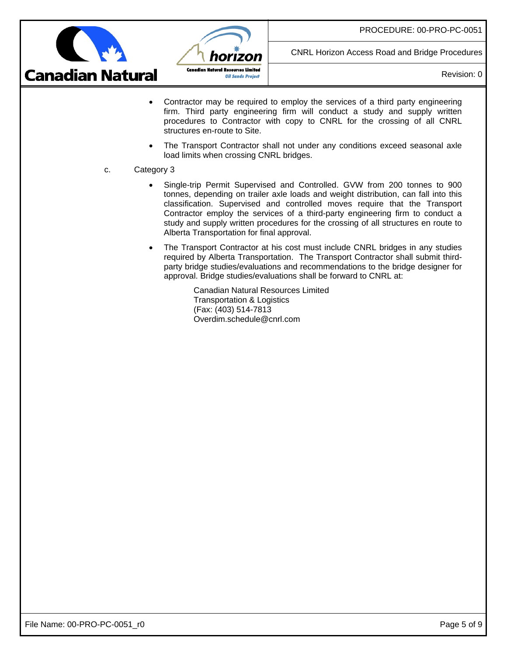

CNRL Horizon Access Road and Bridge Procedures

Revision: 0

- Contractor may be required to employ the services of a third party engineering firm. Third party engineering firm will conduct a study and supply written procedures to Contractor with copy to CNRL for the crossing of all CNRL structures en-route to Site.
- The Transport Contractor shall not under any conditions exceed seasonal axle load limits when crossing CNRL bridges.
- c. Category 3
	- Single-trip Permit Supervised and Controlled. GVW from 200 tonnes to 900 tonnes, depending on trailer axle loads and weight distribution, can fall into this classification. Supervised and controlled moves require that the Transport Contractor employ the services of a third-party engineering firm to conduct a study and supply written procedures for the crossing of all structures en route to Alberta Transportation for final approval.
	- The Transport Contractor at his cost must include CNRL bridges in any studies required by Alberta Transportation. The Transport Contractor shall submit thirdparty bridge studies/evaluations and recommendations to the bridge designer for approval. Bridge studies/evaluations shall be forward to CNRL at:

Canadian Natural Resources Limited Transportation & Logistics (Fax: (403) 514-7813 Overdim.schedule@cnrl.com

horizon

**Oil Sands Project** 

**Canadian Natural Resources Limited**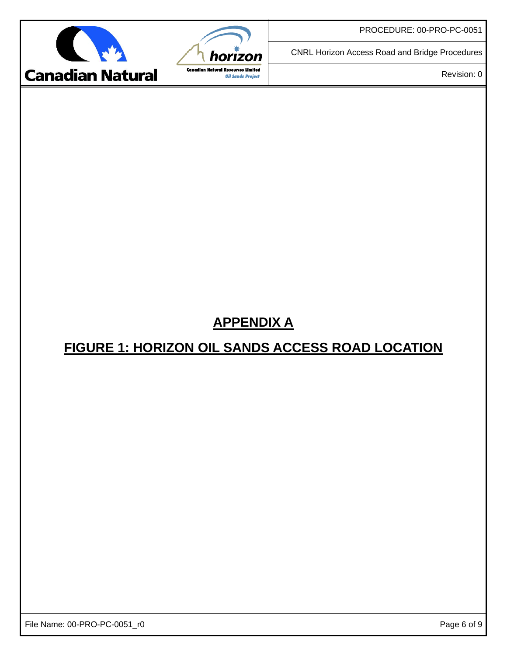CNRL Horizon Access Road and Bridge Procedures



horizon **Canadian Natural Resources Limited Oil Sands Project** 

Revision: 0

# **APPENDIX A FIGURE 1: HORIZON OIL SANDS ACCESS ROAD LOCATION**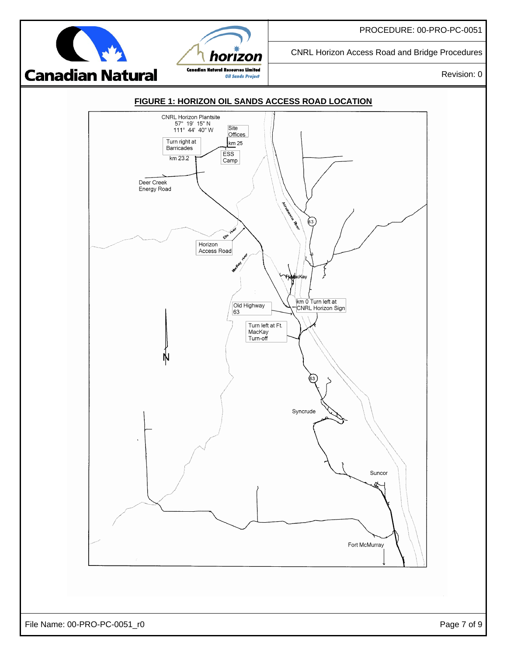CNRL Horizon Access Road and Bridge Procedures



horizon **Canadian Natural Resources Limited Oil Sands Project** 

Revision: 0

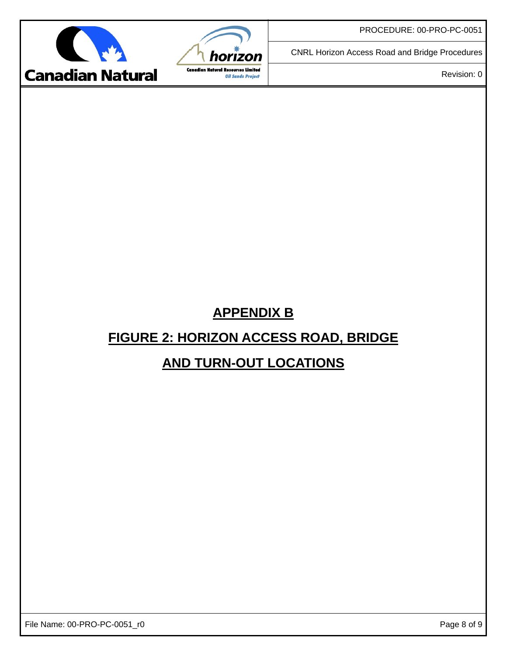CNRL Horizon Access Road and Bridge Procedures



horizon **Canadian Natural Resources Limited** 

**Oil Sands Project** 

Revision: 0

## **APPENDIX B FIGURE 2: HORIZON ACCESS ROAD, BRIDGE**

## **AND TURN-OUT LOCATIONS**